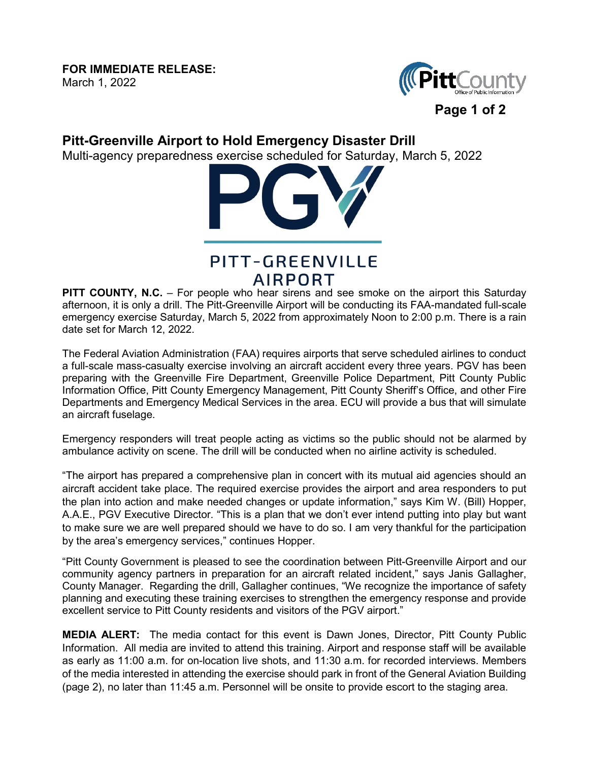## **FOR IMMEDIATE RELEASE:**

March 1, 2022



## **Pitt-Greenville Airport to Hold Emergency Disaster Drill**

Multi-agency preparedness exercise scheduled for Saturday, March 5, 2022



## PITT-GREENVILLE AIRPORT

**PITT COUNTY, N.C.** – For people who hear sirens and see smoke on the airport this Saturday afternoon, it is only a drill. The Pitt-Greenville Airport will be conducting its FAA-mandated full-scale emergency exercise Saturday, March 5, 2022 from approximately Noon to 2:00 p.m. There is a rain date set for March 12, 2022.

The Federal Aviation Administration (FAA) requires airports that serve scheduled airlines to conduct a full-scale mass-casualty exercise involving an aircraft accident every three years. PGV has been preparing with the Greenville Fire Department, Greenville Police Department, Pitt County Public Information Office, Pitt County Emergency Management, Pitt County Sheriff's Office, and other Fire Departments and Emergency Medical Services in the area. ECU will provide a bus that will simulate an aircraft fuselage.

Emergency responders will treat people acting as victims so the public should not be alarmed by ambulance activity on scene. The drill will be conducted when no airline activity is scheduled.

"The airport has prepared a comprehensive plan in concert with its mutual aid agencies should an aircraft accident take place. The required exercise provides the airport and area responders to put the plan into action and make needed changes or update information," says Kim W. (Bill) Hopper, A.A.E., PGV Executive Director. "This is a plan that we don't ever intend putting into play but want to make sure we are well prepared should we have to do so. I am very thankful for the participation by the area's emergency services," continues Hopper.

"Pitt County Government is pleased to see the coordination between Pitt-Greenville Airport and our community agency partners in preparation for an aircraft related incident," says Janis Gallagher, County Manager. Regarding the drill, Gallagher continues, "We recognize the importance of safety planning and executing these training exercises to strengthen the emergency response and provide excellent service to Pitt County residents and visitors of the PGV airport."

**MEDIA ALERT:** The media contact for this event is Dawn Jones, Director, Pitt County Public Information. All media are invited to attend this training. Airport and response staff will be available as early as 11:00 a.m. for on-location live shots, and 11:30 a.m. for recorded interviews. Members of the media interested in attending the exercise should park in front of the General Aviation Building (page 2), no later than 11:45 a.m. Personnel will be onsite to provide escort to the staging area.